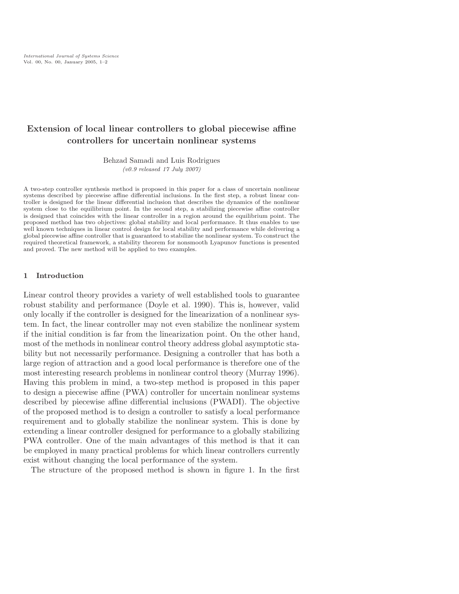# Extension of local linear controllers to global piecewise affine controllers for uncertain nonlinear systems

Behzad Samadi and Luis Rodrigues

(v0.9 released 17 July 2007)

A two-step controller synthesis method is proposed in this paper for a class of uncertain nonlinear systems described by piecewise affine differential inclusions. In the first step, a robust linear controller is designed for the linear differential inclusion that describes the dynamics of the nonlinear system close to the equilibrium point. In the second step, a stabilizing piecewise affine controller is designed that coincides with the linear controller in a region around the equilibrium point. The proposed method has two objectives: global stability and local performance. It thus enables to use well known techniques in linear control design for local stability and performance while delivering a global piecewise affine controller that is guaranteed to stabilize the nonlinear system. To construct the required theoretical framework, a stability theorem for nonsmooth Lyapunov functions is presented and proved. The new method will be applied to two examples.

## 1 Introduction

Linear control theory provides a variety of well established tools to guarantee robust stability and performance (Doyle et al. 1990). This is, however, valid only locally if the controller is designed for the linearization of a nonlinear system. In fact, the linear controller may not even stabilize the nonlinear system if the initial condition is far from the linearization point. On the other hand, most of the methods in nonlinear control theory address global asymptotic stability but not necessarily performance. Designing a controller that has both a large region of attraction and a good local performance is therefore one of the most interesting research problems in nonlinear control theory (Murray 1996). Having this problem in mind, a two-step method is proposed in this paper to design a piecewise affine (PWA) controller for uncertain nonlinear systems described by piecewise affine differential inclusions (PWADI). The objective of the proposed method is to design a controller to satisfy a local performance requirement and to globally stabilize the nonlinear system. This is done by extending a linear controller designed for performance to a globally stabilizing PWA controller. One of the main advantages of this method is that it can be employed in many practical problems for which linear controllers currently exist without changing the local performance of the system.

The structure of the proposed method is shown in figure 1. In the first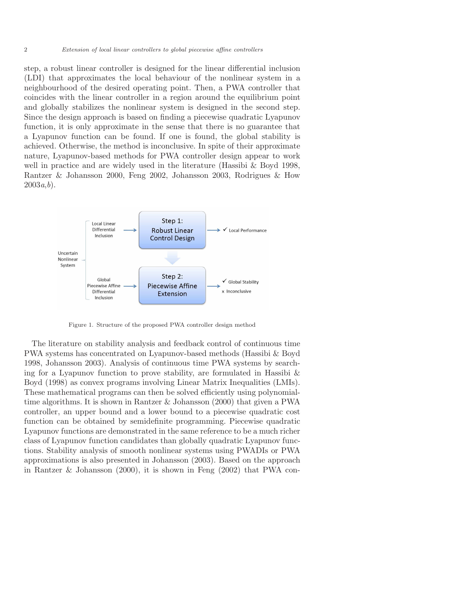step, a robust linear controller is designed for the linear differential inclusion (LDI) that approximates the local behaviour of the nonlinear system in a neighbourhood of the desired operating point. Then, a PWA controller that coincides with the linear controller in a region around the equilibrium point and globally stabilizes the nonlinear system is designed in the second step. Since the design approach is based on finding a piecewise quadratic Lyapunov function, it is only approximate in the sense that there is no guarantee that a Lyapunov function can be found. If one is found, the global stability is achieved. Otherwise, the method is inconclusive. In spite of their approximate nature, Lyapunov-based methods for PWA controller design appear to work well in practice and are widely used in the literature (Hassibi & Boyd 1998, Rantzer & Johansson 2000, Feng 2002, Johansson 2003, Rodrigues & How  $2003a, b$ .



Figure 1. Structure of the proposed PWA controller design method

The literature on stability analysis and feedback control of continuous time PWA systems has concentrated on Lyapunov-based methods (Hassibi & Boyd 1998, Johansson 2003). Analysis of continuous time PWA systems by searching for a Lyapunov function to prove stability, are formulated in Hassibi  $\&$ Boyd (1998) as convex programs involving Linear Matrix Inequalities (LMIs). These mathematical programs can then be solved efficiently using polynomialtime algorithms. It is shown in Rantzer & Johansson (2000) that given a PWA controller, an upper bound and a lower bound to a piecewise quadratic cost function can be obtained by semidefinite programming. Piecewise quadratic Lyapunov functions are demonstrated in the same reference to be a much richer class of Lyapunov function candidates than globally quadratic Lyapunov functions. Stability analysis of smooth nonlinear systems using PWADIs or PWA approximations is also presented in Johansson (2003). Based on the approach in Rantzer & Johansson (2000), it is shown in Feng (2002) that PWA con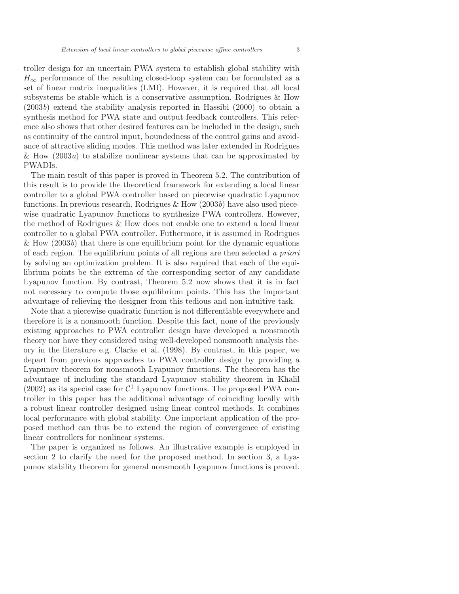troller design for an uncertain PWA system to establish global stability with  $H_{\infty}$  performance of the resulting closed-loop system can be formulated as a set of linear matrix inequalities (LMI). However, it is required that all local subsystems be stable which is a conservative assumption. Rodrigues & How (2003b) extend the stability analysis reported in Hassibi (2000) to obtain a synthesis method for PWA state and output feedback controllers. This reference also shows that other desired features can be included in the design, such as continuity of the control input, boundedness of the control gains and avoidance of attractive sliding modes. This method was later extended in Rodrigues & How  $(2003a)$  to stabilize nonlinear systems that can be approximated by PWADIs.

The main result of this paper is proved in Theorem 5.2. The contribution of this result is to provide the theoretical framework for extending a local linear controller to a global PWA controller based on piecewise quadratic Lyapunov functions. In previous research, Rodrigues  $\&$  How (2003b) have also used piecewise quadratic Lyapunov functions to synthesize PWA controllers. However, the method of Rodrigues & How does not enable one to extend a local linear controller to a global PWA controller. Futhermore, it is assumed in Rodrigues & How  $(2003b)$  that there is one equilibrium point for the dynamic equations of each region. The equilibrium points of all regions are then selected a priori by solving an optimization problem. It is also required that each of the equilibrium points be the extrema of the corresponding sector of any candidate Lyapunov function. By contrast, Theorem 5.2 now shows that it is in fact not necessary to compute those equilibrium points. This has the important advantage of relieving the designer from this tedious and non-intuitive task.

Note that a piecewise quadratic function is not differentiable everywhere and therefore it is a nonsmooth function. Despite this fact, none of the previously existing approaches to PWA controller design have developed a nonsmooth theory nor have they considered using well-developed nonsmooth analysis theory in the literature e.g. Clarke et al. (1998). By contrast, in this paper, we depart from previous approaches to PWA controller design by providing a Lyapunov theorem for nonsmooth Lyapunov functions. The theorem has the advantage of including the standard Lyapunov stability theorem in Khalil (2002) as its special case for  $C<sup>1</sup>$  Lyapunov functions. The proposed PWA controller in this paper has the additional advantage of coinciding locally with a robust linear controller designed using linear control methods. It combines local performance with global stability. One important application of the proposed method can thus be to extend the region of convergence of existing linear controllers for nonlinear systems.

The paper is organized as follows. An illustrative example is employed in section 2 to clarify the need for the proposed method. In section 3, a Lyapunov stability theorem for general nonsmooth Lyapunov functions is proved.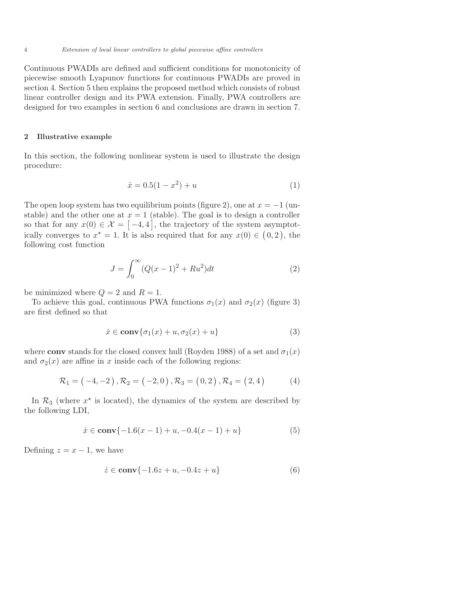4 Extension of local linear controllers to global piecewise affine controllers

Continuous PWADIs are defined and sufficient conditions for monotonicity of piecewise smooth Lyapunov functions for continuous PWADIs are proved in section 4. Section 5 then explains the proposed method which consists of robust linear controller design and its PWA extension. Finally, PWA controllers are designed for two examples in section 6 and conclusions are drawn in section 7.

## 2 Illustrative example

In this section, the following nonlinear system is used to illustrate the design procedure:

$$
\dot{x} = 0.5(1 - x^2) + u \tag{1}
$$

The open loop system has two equilibrium points (figure 2), one at  $x = -1$  (unstable) and the other one at  $x = 1$  (stable). The goal is to design a controller so that for any  $x(0) \in \mathcal{X} = [-4, 4]$ , the trajectory of the system asymptotically converges to  $x^* = 1$ . It is also required that for any  $x(0) \in (0, 2)$ , the following cost function

$$
J = \int_0^\infty (Q(x-1)^2 + Ru^2)dt
$$
 (2)

be minimized where  $Q = 2$  and  $R = 1$ .

To achieve this goal, continuous PWA functions  $\sigma_1(x)$  and  $\sigma_2(x)$  (figure 3) are first defined so that

$$
\dot{x} \in \mathbf{conv}\{\sigma_1(x) + u, \sigma_2(x) + u\} \tag{3}
$$

where conv stands for the closed convex hull (Royden 1988) of a set and  $\sigma_1(x)$ and  $\sigma_2(x)$  are affine in x inside each of the following regions:

$$
\mathcal{R}_1 = (-4, -2), \mathcal{R}_2 = (-2, 0), \mathcal{R}_3 = (0, 2), \mathcal{R}_4 = (2, 4)
$$
 (4)

In  $\mathcal{R}_3$  (where  $x^*$  is located), the dynamics of the system are described by the following LDI,

$$
\dot{x} \in \mathbf{conv}\{-1.6(x-1) + u, -0.4(x-1) + u\} \tag{5}
$$

Defining  $z = x - 1$ , we have

$$
\dot{z} \in \mathbf{conv}\{-1.6z + u, -0.4z + u\} \tag{6}
$$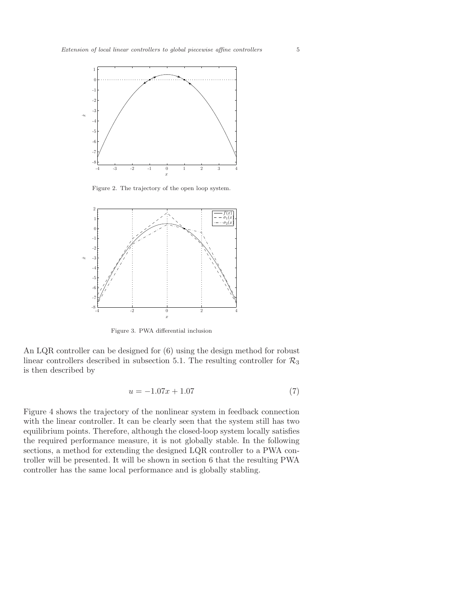

Figure 2. The trajectory of the open loop system.



Figure 3. PWA differential inclusion

An LQR controller can be designed for (6) using the design method for robust linear controllers described in subsection 5.1. The resulting controller for  $\mathcal{R}_3$ is then described by

$$
u = -1.07x + 1.07\tag{7}
$$

Figure 4 shows the trajectory of the nonlinear system in feedback connection with the linear controller. It can be clearly seen that the system still has two equilibrium points. Therefore, although the closed-loop system locally satisfies the required performance measure, it is not globally stable. In the following sections, a method for extending the designed LQR controller to a PWA controller will be presented. It will be shown in section 6 that the resulting PWA controller has the same local performance and is globally stabling.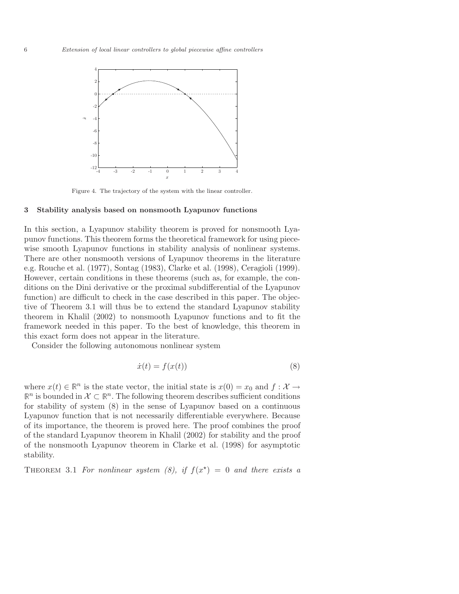

Figure 4. The trajectory of the system with the linear controller.

### 3 Stability analysis based on nonsmooth Lyapunov functions

In this section, a Lyapunov stability theorem is proved for nonsmooth Lyapunov functions. This theorem forms the theoretical framework for using piecewise smooth Lyapunov functions in stability analysis of nonlinear systems. There are other nonsmooth versions of Lyapunov theorems in the literature e.g. Rouche et al. (1977), Sontag (1983), Clarke et al. (1998), Ceragioli (1999). However, certain conditions in these theorems (such as, for example, the conditions on the Dini derivative or the proximal subdifferential of the Lyapunov function) are difficult to check in the case described in this paper. The objective of Theorem 3.1 will thus be to extend the standard Lyapunov stability theorem in Khalil (2002) to nonsmooth Lyapunov functions and to fit the framework needed in this paper. To the best of knowledge, this theorem in this exact form does not appear in the literature.

Consider the following autonomous nonlinear system

$$
\dot{x}(t) = f(x(t))\tag{8}
$$

where  $x(t) \in \mathbb{R}^n$  is the state vector, the initial state is  $x(0) = x_0$  and  $f: \mathcal{X} \to$  $\mathbb{R}^n$  is bounded in  $\mathcal{X} \subset \mathbb{R}^n$ . The following theorem describes sufficient conditions for stability of system (8) in the sense of Lyapunov based on a continuous Lyapunov function that is not necessarily differentiable everywhere. Because of its importance, the theorem is proved here. The proof combines the proof of the standard Lyapunov theorem in Khalil (2002) for stability and the proof of the nonsmooth Lyapunov theorem in Clarke et al. (1998) for asymptotic stability.

THEOREM 3.1 For nonlinear system (8), if  $f(x^*) = 0$  and there exists a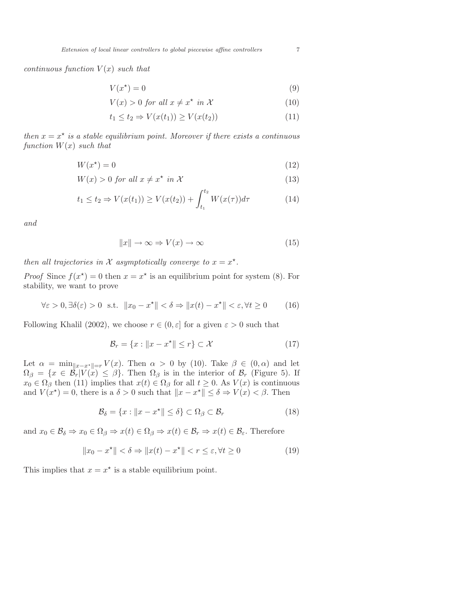continuous function  $V(x)$  such that

$$
V(x^*) = 0\tag{9}
$$

$$
V(x) > 0 \text{ for all } x \neq x^* \text{ in } \mathcal{X}
$$
 (10)

$$
t_1 \le t_2 \Rightarrow V(x(t_1)) \ge V(x(t_2)) \tag{11}
$$

then  $x = x^*$  is a stable equilibrium point. Moreover if there exists a continuous function  $W(x)$  such that

$$
W(x^*) = 0\tag{12}
$$

$$
W(x) > 0 \text{ for all } x \neq x^* \text{ in } \mathcal{X}
$$
\n
$$
(13)
$$

$$
t_1 \le t_2 \Rightarrow V(x(t_1)) \ge V(x(t_2)) + \int_{t_1}^{t_2} W(x(\tau)) d\tau \tag{14}
$$

and

$$
||x|| \to \infty \Rightarrow V(x) \to \infty \tag{15}
$$

then all trajectories in X asymptotically converge to  $x = x^*$ .

*Proof* Since  $f(x^*) = 0$  then  $x = x^*$  is an equilibrium point for system (8). For stability, we want to prove

$$
\forall \varepsilon > 0, \exists \delta(\varepsilon) > 0 \text{ s.t. } \|x_0 - x^\star\| < \delta \Rightarrow \|x(t) - x^\star\| < \varepsilon, \forall t \ge 0 \tag{16}
$$

Following Khalil (2002), we choose  $r \in (0, \varepsilon]$  for a given  $\varepsilon > 0$  such that

$$
\mathcal{B}_r = \{x : ||x - x^*|| \le r\} \subset \mathcal{X}
$$
\n<sup>(17)</sup>

Let  $\alpha = \min_{\|x-x^*\|=r} V(x)$ . Then  $\alpha > 0$  by (10). Take  $\beta \in (0, \alpha)$  and let  $\Omega_{\beta} = \{x \in \mathcal{B}_r | V(x) \leq \beta\}.$  Then  $\Omega_{\beta}$  is in the interior of  $\mathcal{B}_r$  (Figure 5). If  $x_0 \in \Omega_\beta$  then (11) implies that  $x(t) \in \Omega_\beta$  for all  $t \geq 0$ . As  $V(x)$  is continuous and  $V(x^*) = 0$ , there is a  $\delta > 0$  such that  $||x - x^*|| \leq \delta \Rightarrow V(x) < \beta$ . Then

$$
\mathcal{B}_{\delta} = \{x : ||x - x^*|| \le \delta\} \subset \Omega_{\beta} \subset \mathcal{B}_r \tag{18}
$$

and  $x_0 \in \mathcal{B}_\delta \Rightarrow x_0 \in \Omega_\beta \Rightarrow x(t) \in \Omega_\beta \Rightarrow x(t) \in \mathcal{B}_r \Rightarrow x(t) \in \mathcal{B}_\varepsilon$ . Therefore

$$
||x_0 - x^*|| < \delta \Rightarrow ||x(t) - x^*|| < r \le \varepsilon, \forall t \ge 0
$$
\n(19)

This implies that  $x = x^*$  is a stable equilibrium point.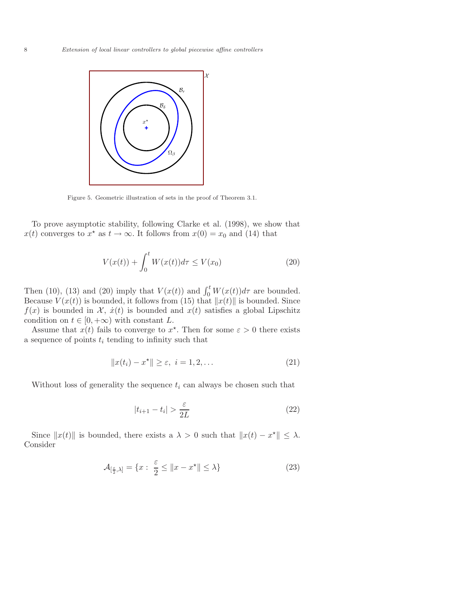

Figure 5. Geometric illustration of sets in the proof of Theorem 3.1.

To prove asymptotic stability, following Clarke et al. (1998), we show that  $x(t)$  converges to  $x^*$  as  $t \to \infty$ . It follows from  $x(0) = x_0$  and (14) that

$$
V(x(t)) + \int_0^t W(x(t))d\tau \le V(x_0)
$$
 (20)

Then (10), (13) and (20) imply that  $V(x(t))$  and  $\int_0^t W(x(t))d\tau$  are bounded. Because  $V(x(t))$  is bounded, it follows from (15) that  $||x(t)||$  is bounded. Since  $f(x)$  is bounded in X,  $\dot{x}(t)$  is bounded and  $x(t)$  satisfies a global Lipschitz condition on  $t \in [0, +\infty)$  with constant L.

Assume that  $x(t)$  fails to converge to  $x^*$ . Then for some  $\varepsilon > 0$  there exists a sequence of points  $t_i$  tending to infinity such that

$$
||x(t_i) - x^*|| \ge \varepsilon, \ i = 1, 2, \dots
$$
\n(21)

Without loss of generality the sequence  $t_i$  can always be chosen such that

$$
|t_{i+1} - t_i| > \frac{\varepsilon}{2L} \tag{22}
$$

Since  $||x(t)||$  is bounded, there exists a  $\lambda > 0$  such that  $||x(t) - x^*|| \leq \lambda$ . Consider

$$
\mathcal{A}_{\left[\frac{\varepsilon}{2},\lambda\right]} = \{x : \frac{\varepsilon}{2} \le ||x - x^{\star}|| \le \lambda\}
$$
\n(23)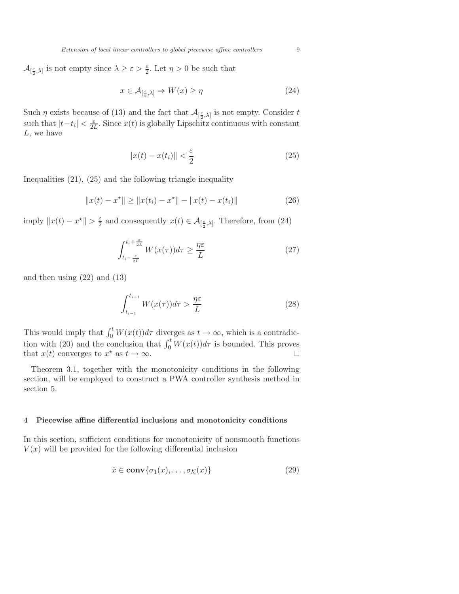$\mathcal{A}_{\left[\frac{\varepsilon}{2},\lambda\right]}$  is not empty since  $\lambda \geq \varepsilon > \frac{\varepsilon}{2}$ . Let  $\eta > 0$  be such that

$$
x \in \mathcal{A}_{\left[\frac{\varepsilon}{2},\lambda\right]} \Rightarrow W(x) \ge \eta \tag{24}
$$

Such  $\eta$  exists because of (13) and the fact that  $\mathcal{A}_{\left[\frac{\varepsilon}{2},\lambda\right]}$  is not empty. Consider t such that  $|t-t_i| < \frac{\varepsilon}{2l}$  $\frac{\varepsilon}{2L}$ . Since  $x(t)$  is globally Lipschitz continuous with constant L, we have

$$
||x(t) - x(t_i)|| < \frac{\varepsilon}{2} \tag{25}
$$

Inequalities (21), (25) and the following triangle inequality

$$
||x(t) - x^*|| \ge ||x(t_i) - x^*|| - ||x(t) - x(t_i)|| \tag{26}
$$

imply  $||x(t) - x^*|| > \frac{\varepsilon}{2}$  $\frac{\varepsilon}{2}$  and consequently  $x(t) \in \mathcal{A}_{\left[\frac{\varepsilon}{2},\lambda\right]}$ . Therefore, from (24)

$$
\int_{t_i - \frac{\varepsilon}{2L}}^{t_i + \frac{\varepsilon}{2L}} W(x(\tau)) d\tau \ge \frac{\eta \varepsilon}{L}
$$
 (27)

and then using (22) and (13)

$$
\int_{t_{i-1}}^{t_{i+1}} W(x(\tau))d\tau > \frac{\eta \varepsilon}{L}
$$
\n(28)

This would imply that  $\int_0^t W(x(t))d\tau$  diverges as  $t \to \infty$ , which is a contradiction with (20) and the conclusion that  $\int_0^t W(x(t))d\tau$  is bounded. This proves that  $x(t)$  converges to  $x^*$  as  $t \to \infty$ .

Theorem 3.1, together with the monotonicity conditions in the following section, will be employed to construct a PWA controller synthesis method in section 5.

## 4 Piecewise affine differential inclusions and monotonicity conditions

In this section, sufficient conditions for monotonicity of nonsmooth functions  $V(x)$  will be provided for the following differential inclusion

$$
\dot{x} \in \mathbf{conv}\{\sigma_1(x), \dots, \sigma_{\mathcal{K}}(x)\}\tag{29}
$$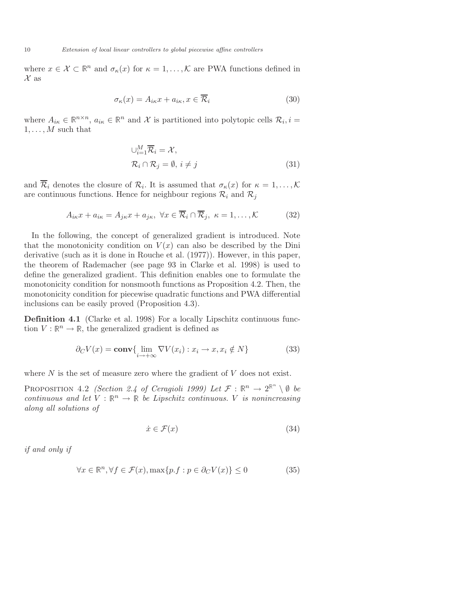where  $x \in \mathcal{X} \subset \mathbb{R}^n$  and  $\sigma_{\kappa}(x)$  for  $\kappa = 1, \ldots, \mathcal{K}$  are PWA functions defined in  $\mathcal X$  as

$$
\sigma_{\kappa}(x) = A_{i\kappa}x + a_{i\kappa}, x \in \overline{\mathcal{R}}_i
$$
\n(30)

where  $A_{i\kappa} \in \mathbb{R}^{n \times n}$ ,  $a_{i\kappa} \in \mathbb{R}^n$  and X is partitioned into polytopic cells  $\mathcal{R}_i$ ,  $i =$  $1,\ldots,M$  such that

$$
\bigcup_{i=1}^{M} \overline{\mathcal{R}}_i = \mathcal{X},
$$
  

$$
\mathcal{R}_i \cap \mathcal{R}_j = \emptyset, i \neq j
$$
 (31)

and  $\mathcal{R}_i$  denotes the closure of  $\mathcal{R}_i$ . It is assumed that  $\sigma_{\kappa}(x)$  for  $\kappa = 1, \ldots, \mathcal{K}$ are continuous functions. Hence for neighbour regions  $\mathcal{R}_i$  and  $\mathcal{R}_j$ 

$$
A_{i\kappa}x + a_{i\kappa} = A_{j\kappa}x + a_{j\kappa}, \ \forall x \in \overline{\mathcal{R}}_i \cap \overline{\mathcal{R}}_j, \ \kappa = 1, \dots, \mathcal{K}
$$
 (32)

In the following, the concept of generalized gradient is introduced. Note that the monotonicity condition on  $V(x)$  can also be described by the Dini derivative (such as it is done in Rouche et al. (1977)). However, in this paper, the theorem of Rademacher (see page 93 in Clarke et al. 1998) is used to define the generalized gradient. This definition enables one to formulate the monotonicity condition for nonsmooth functions as Proposition 4.2. Then, the monotonicity condition for piecewise quadratic functions and PWA differential inclusions can be easily proved (Proposition 4.3).

Definition 4.1 (Clarke et al. 1998) For a locally Lipschitz continuous function  $V : \mathbb{R}^n \to \mathbb{R}$ , the generalized gradient is defined as

$$
\partial_C V(x) = \mathbf{conv} \{ \lim_{i \to +\infty} \nabla V(x_i) : x_i \to x, x_i \notin N \}
$$
 (33)

where  $N$  is the set of measure zero where the gradient of  $V$  does not exist.

PROPOSITION 4.2 (Section 2.4 of Ceragioli 1999) Let  $\mathcal{F}: \mathbb{R}^n \to 2^{\mathbb{R}^n} \setminus \emptyset$  be continuous and let  $V : \mathbb{R}^n \to \mathbb{R}$  be Lipschitz continuous. V is nonincreasing along all solutions of

$$
\dot{x} \in \mathcal{F}(x) \tag{34}
$$

if and only if

$$
\forall x \in \mathbb{R}^n, \forall f \in \mathcal{F}(x), \max\{p.f : p \in \partial_C V(x)\} \le 0 \tag{35}
$$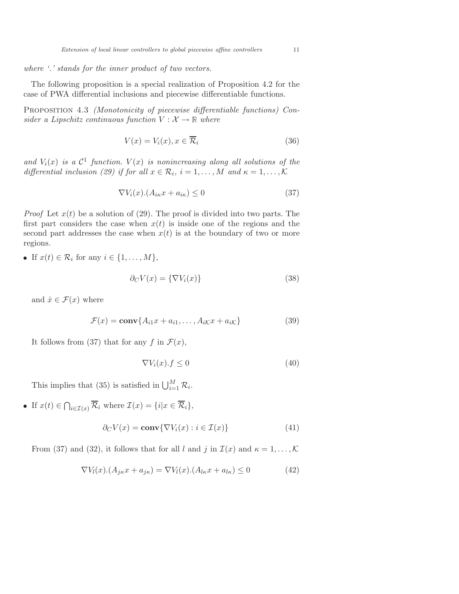where '.' stands for the inner product of two vectors.

The following proposition is a special realization of Proposition 4.2 for the case of PWA differential inclusions and piecewise differentiable functions.

PROPOSITION 4.3 *(Monotonicity of piecewise differentiable functions) Con*sider a Lipschitz continuous function  $V : \mathcal{X} \to \mathbb{R}$  where

$$
V(x) = V_i(x), x \in \overline{\mathcal{R}}_i
$$
\n(36)

and  $V_i(x)$  is a  $\mathcal{C}^1$  function.  $V(x)$  is nonincreasing along all solutions of the differential inclusion (29) if for all  $x \in \mathcal{R}_i$ ,  $i = 1, ..., M$  and  $\kappa = 1, ..., K$ 

$$
\nabla V_i(x) \cdot (A_{i\kappa} x + a_{i\kappa}) \le 0 \tag{37}
$$

*Proof* Let  $x(t)$  be a solution of (29). The proof is divided into two parts. The first part considers the case when  $x(t)$  is inside one of the regions and the second part addresses the case when  $x(t)$  is at the boundary of two or more regions.

• If  $x(t) \in \mathcal{R}_i$  for any  $i \in \{1, \ldots, M\},\$ 

$$
\partial_C V(x) = \{ \nabla V_i(x) \}
$$
\n(38)

and  $\dot{x} \in \mathcal{F}(x)$  where

$$
\mathcal{F}(x) = \mathbf{conv}\{A_{i1}x + a_{i1}, \dots, A_{iK}x + a_{iK}\}\
$$
\n(39)

It follows from (37) that for any f in  $\mathcal{F}(x)$ ,

$$
\nabla V_i(x).f \le 0\tag{40}
$$

This implies that (35) is satisfied in  $\bigcup_{i=1}^{M} \mathcal{R}_i$ .

• If  $x(t) \in \bigcap_{i \in \mathcal{I}(x)} \mathcal{R}_i$  where  $\mathcal{I}(x) = \{i | x \in \mathcal{R}_i\},\$ 

$$
\partial_C V(x) = \mathbf{conv}\{\nabla V_i(x) : i \in \mathcal{I}(x)\}\tag{41}
$$

From (37) and (32), it follows that for all l and j in  $\mathcal{I}(x)$  and  $\kappa = 1, \ldots, \mathcal{K}$ 

$$
\nabla V_l(x) \cdot (A_{j\kappa} x + a_{j\kappa}) = \nabla V_l(x) \cdot (A_{l\kappa} x + a_{l\kappa}) \le 0 \tag{42}
$$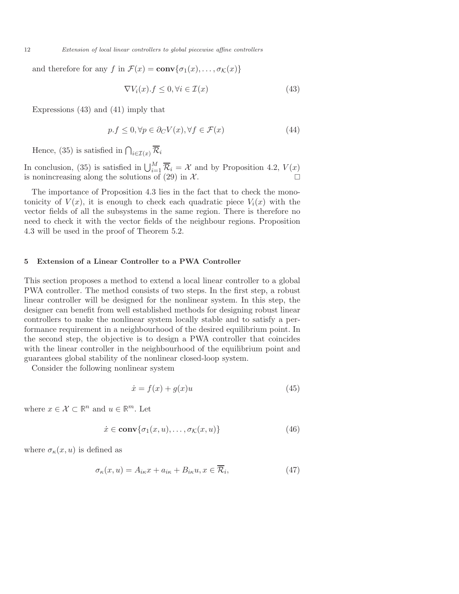12 Extension of local linear controllers to global piecewise affine controllers

and therefore for any f in  $\mathcal{F}(x) = \text{conv}\{\sigma_1(x), \ldots, \sigma_{\mathcal{K}}(x)\}\$ 

$$
\nabla V_i(x).f \le 0, \forall i \in \mathcal{I}(x) \tag{43}
$$

Expressions (43) and (41) imply that

$$
p.f \le 0, \forall p \in \partial_C V(x), \forall f \in \mathcal{F}(x) \tag{44}
$$

Hence, (35) is satisfied in  $\bigcap_{i\in\mathcal{I}(x)}\mathcal{R}_i$ 

In conclusion, (35) is satisfied in  $\bigcup_{i=1}^{M} \overline{\mathcal{R}}_i = \mathcal{X}$  and by Proposition 4.2,  $V(x)$ is nonincreasing along the solutions of (29) in  $\mathcal{X}$ .

The importance of Proposition 4.3 lies in the fact that to check the monotonicity of  $V(x)$ , it is enough to check each quadratic piece  $V_i(x)$  with the vector fields of all the subsystems in the same region. There is therefore no need to check it with the vector fields of the neighbour regions. Proposition 4.3 will be used in the proof of Theorem 5.2.

#### 5 Extension of a Linear Controller to a PWA Controller

This section proposes a method to extend a local linear controller to a global PWA controller. The method consists of two steps. In the first step, a robust linear controller will be designed for the nonlinear system. In this step, the designer can benefit from well established methods for designing robust linear controllers to make the nonlinear system locally stable and to satisfy a performance requirement in a neighbourhood of the desired equilibrium point. In the second step, the objective is to design a PWA controller that coincides with the linear controller in the neighbourhood of the equilibrium point and guarantees global stability of the nonlinear closed-loop system.

Consider the following nonlinear system

$$
\dot{x} = f(x) + g(x)u\tag{45}
$$

where  $x \in \mathcal{X} \subset \mathbb{R}^n$  and  $u \in \mathbb{R}^m$ . Let

$$
\dot{x} \in \mathbf{conv}\{\sigma_1(x, u), \dots, \sigma_K(x, u)\}\tag{46}
$$

where  $\sigma_{\kappa}(x, u)$  is defined as

$$
\sigma_{\kappa}(x, u) = A_{i\kappa}x + a_{i\kappa} + B_{i\kappa}u, x \in \overline{\mathcal{R}}_i,
$$
\n(47)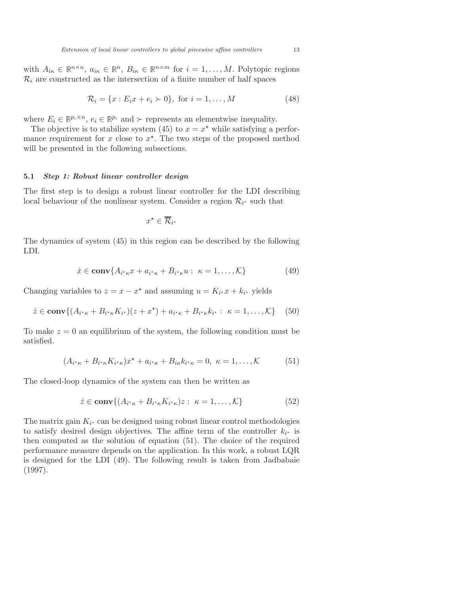with  $A_{i\kappa} \in \mathbb{R}^{n \times n}$ ,  $a_{i\kappa} \in \mathbb{R}^n$ ,  $B_{i\kappa} \in \mathbb{R}^{n \times m}$  for  $i = 1, ..., M$ . Polytopic regions  $\mathcal{R}_i$  are constructed as the intersection of a finite number of half spaces

$$
\mathcal{R}_i = \{x : E_i x + e_i \succ 0\}, \text{ for } i = 1, ..., M
$$
 (48)

where  $E_i \in \mathbb{R}^{p_i \times n}$ ,  $e_i \in \mathbb{R}^{p_i}$  and  $\succ$  represents an elementwise inequality.

The objective is to stabilize system (45) to  $x = x^*$  while satisfying a performance requirement for  $x$  close to  $x^*$ . The two steps of the proposed method will be presented in the following subsections.

#### 5.1 Step 1: Robust linear controller design

The first step is to design a robust linear controller for the LDI describing local behaviour of the nonlinear system. Consider a region  $\mathcal{R}_{i^*}$  such that

$$
x^\star \in \overline{\mathcal{R}}_{i^\star}
$$

The dynamics of system (45) in this region can be described by the following LDI.

$$
\dot{x} \in \mathbf{conv}\{A_{i^*\kappa}x + a_{i^*\kappa} + B_{i^*\kappa}u : \ \kappa = 1, \dots, \mathcal{K}\}\tag{49}
$$

Changing variables to  $z = x - x^*$  and assuming  $u = K_{i^*}x + k_{i^*}$  yields

$$
\dot{z} \in \mathbf{conv}\{(A_{i^*\kappa} + B_{i^*\kappa}K_{i^*})(z + x^*) + a_{i^*\kappa} + B_{i^*\kappa}k_{i^*} : \ \kappa = 1,\ldots,\mathcal{K}\} \tag{50}
$$

To make  $z = 0$  an equilibrium of the system, the following condition must be satisfied.

$$
(A_{i^*\kappa} + B_{i^*\kappa} K_{i^*\kappa})x^* + a_{i^*\kappa} + B_{i\kappa} k_{i^*\kappa} = 0, \ \kappa = 1, \dots, \mathcal{K}
$$
 (51)

The closed-loop dynamics of the system can then be written as

$$
\dot{z} \in \mathbf{conv}\{(A_{i^{\star}\kappa} + B_{i^{\star}\kappa}K_{i^{\star}\kappa})z : \ \kappa = 1, \dots, \mathcal{K}\}\
$$
 (52)

The matrix gain  $K_{i^*}$  can be designed using robust linear control methodologies to satisfy desired design objectives. The affine term of the controller  $k_{i^*}$  is then computed as the solution of equation (51). The choice of the required performance measure depends on the application. In this work, a robust LQR is designed for the LDI (49). The following result is taken from Jadbabaie (1997).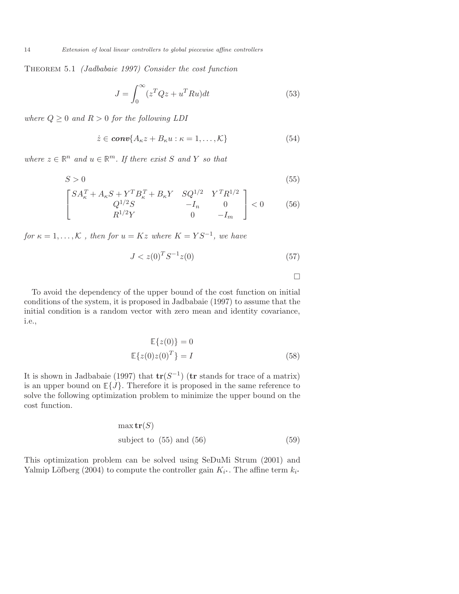Theorem 5.1 (Jadbabaie 1997) Consider the cost function

$$
J = \int_0^\infty (z^T Q z + u^T R u) dt
$$
\n(53)

where  $Q \geq 0$  and  $R > 0$  for the following LDI

$$
\dot{z} \in \mathbf{conv}\{A_{\kappa}z + B_{\kappa}u : \kappa = 1, \dots, \mathcal{K}\}\tag{54}
$$

where  $z \in \mathbb{R}^n$  and  $u \in \mathbb{R}^m$ . If there exist S and Y so that

$$
S > 0 \tag{55}
$$

$$
\begin{bmatrix} SA_{\kappa}^T + A_{\kappa} S + Y^T B_{\kappa}^T + B_{\kappa} Y & S Q^{1/2} & Y^T R^{1/2} \\ Q^{1/2} S & -I_n & 0 \\ R^{1/2} Y & 0 & -I_m \end{bmatrix} < 0
$$
 (56)

for  $\kappa = 1, ..., K$ , then for  $u = Kz$  where  $K = YS^{-1}$ , we have

$$
J < z(0)^T S^{-1} z(0) \tag{57}
$$

 $\Box$ 

To avoid the dependency of the upper bound of the cost function on initial conditions of the system, it is proposed in Jadbabaie (1997) to assume that the initial condition is a random vector with zero mean and identity covariance, i.e.,

$$
\mathbb{E}\{z(0)\} = 0
$$
  

$$
\mathbb{E}\{z(0)z(0)^{T}\} = I
$$
 (58)

It is shown in Jadbabaie (1997) that  $tr(S^{-1})$  (tr stands for trace of a matrix) is an upper bound on  $\mathbb{E}\lbrace J \rbrace$ . Therefore it is proposed in the same reference to solve the following optimization problem to minimize the upper bound on the cost function.

$$
\max \mathbf{tr}(S)
$$
\nsubject to (55) and (56)

\n(59)

This optimization problem can be solved using SeDuMi Strum (2001) and Yalmip Löfberg (2004) to compute the controller gain  $K_{i^*}$ . The affine term  $k_{i^*}$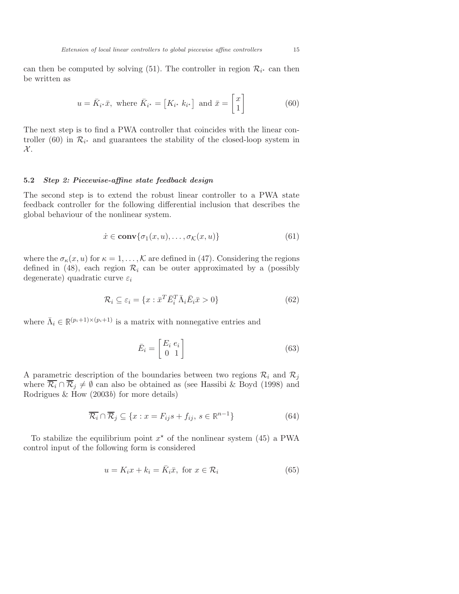can then be computed by solving (51). The controller in region  $\mathcal{R}_{i^*}$  can then be written as

$$
u = \bar{K}_{i^*}\bar{x}, \text{ where } \bar{K}_{i^*} = [K_{i^*} \; k_{i^*}] \text{ and } \bar{x} = \begin{bmatrix} x \\ 1 \end{bmatrix}
$$
 (60)

The next step is to find a PWA controller that coincides with the linear controller (60) in  $\mathcal{R}_{i^*}$  and guarantees the stability of the closed-loop system in  $\mathcal{X}.$ 

#### 5.2 Step 2: Piecewise-affine state feedback design

The second step is to extend the robust linear controller to a PWA state feedback controller for the following differential inclusion that describes the global behaviour of the nonlinear system.

$$
\dot{x} \in \mathbf{conv}\{\sigma_1(x, u), \dots, \sigma_{\mathcal{K}}(x, u)\}\tag{61}
$$

where the  $\sigma_{\kappa}(x, u)$  for  $\kappa = 1, \ldots, \mathcal{K}$  are defined in (47). Considering the regions defined in (48), each region  $\mathcal{R}_i$  can be outer approximated by a (possibly degenerate) quadratic curve  $\varepsilon_i$ 

$$
\mathcal{R}_i \subseteq \varepsilon_i = \{ x : \bar{x}^T \bar{E}_i^T \bar{\Lambda}_i \bar{E}_i \bar{x} > 0 \}
$$
\n
$$
(62)
$$

where  $\bar{\Lambda}_i \in \mathbb{R}^{(p_i+1)\times (p_i+1)}$  is a matrix with nonnegative entries and

$$
\bar{E}_i = \begin{bmatrix} E_i & e_i \\ 0 & 1 \end{bmatrix} \tag{63}
$$

A parametric description of the boundaries between two regions  $\mathcal{R}_i$  and  $\mathcal{R}_j$ where  $\overline{\mathcal{R}_i} \cap \overline{\mathcal{R}}_j \neq \emptyset$  can also be obtained as (see Hassibi & Boyd (1998) and Rodrigues  $&$  How  $(2003b)$  for more details)

$$
\overline{\mathcal{R}_i} \cap \overline{\mathcal{R}}_j \subseteq \{x : x = F_{ij}s + f_{ij}, s \in \mathbb{R}^{n-1}\}\tag{64}
$$

To stabilize the equilibrium point  $x^*$  of the nonlinear system (45) a PWA control input of the following form is considered

$$
u = K_i x + k_i = \bar{K}_i \bar{x}, \text{ for } x \in \mathcal{R}_i
$$
 (65)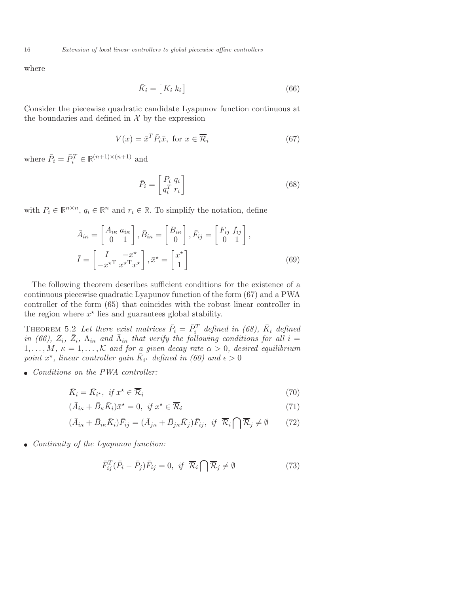16 Extension of local linear controllers to global piecewise affine controllers

where

$$
\bar{K}_i = [K_i \ k_i] \tag{66}
$$

Consider the piecewise quadratic candidate Lyapunov function continuous at the boundaries and defined in  $\mathcal X$  by the expression

$$
V(x) = \bar{x}^T \bar{P}_i \bar{x}, \text{ for } x \in \overline{\mathcal{R}}_i
$$
 (67)

where  $\bar{P}_i = \bar{P}_i^T \in \mathbb{R}^{(n+1)\times(n+1)}$  and

$$
\bar{P}_i = \begin{bmatrix} P_i & q_i \\ q_i^T & r_i \end{bmatrix} \tag{68}
$$

with  $P_i \in \mathbb{R}^{n \times n}$ ,  $q_i \in \mathbb{R}^n$  and  $r_i \in \mathbb{R}$ . To simplify the notation, define

$$
\bar{A}_{ik} = \begin{bmatrix} A_{ik} & a_{ik} \\ 0 & 1 \end{bmatrix}, \bar{B}_{ik} = \begin{bmatrix} B_{ik} \\ 0 \end{bmatrix}, \bar{F}_{ij} = \begin{bmatrix} F_{ij} & f_{ij} \\ 0 & 1 \end{bmatrix},
$$
\n
$$
\bar{I} = \begin{bmatrix} I & -x^{\star} \\ -x^{\star T} & x^{\star T}x^{\star} \end{bmatrix}, \bar{x}^{\star} = \begin{bmatrix} x^{\star} \\ 1 \end{bmatrix}
$$
\n(69)

The following theorem describes sufficient conditions for the existence of a continuous piecewise quadratic Lyapunov function of the form (67) and a PWA controller of the form (65) that coincides with the robust linear controller in the region where  $x^*$  lies and guarantees global stability.

THEOREM 5.2 Let there exist matrices  $\bar{P}_i = \bar{P}_i^T$  defined in (68),  $\bar{K}_i$  defined in (66),  $Z_i$ ,  $\bar{Z}_i$ ,  $\Lambda_{i\kappa}$  and  $\bar{\Lambda}_{i\kappa}$  that verify the following conditions for all  $i =$  $1, \ldots, M, \kappa = 1, \ldots, K$  and for a given decay rate  $\alpha > 0$ , desired equilibrium point  $x^*$ , linear controller gain  $\overline{K}_{i^*}$  defined in (60) and  $\epsilon > 0$ 

• Conditions on the PWA controller:

$$
\bar{K}_i = \bar{K}_{i^*}, \ \text{if } x^* \in \overline{\mathcal{R}}_i \tag{70}
$$

$$
(\bar{A}_{i\kappa} + \bar{B}_{\kappa}\bar{K}_i)\bar{x}^* = 0, \ \text{if } x^* \in \overline{\mathcal{R}}_i \tag{71}
$$

$$
(\bar{A}_{i\kappa} + \bar{B}_{i\kappa}\bar{K}_i)\bar{F}_{ij} = (\bar{A}_{j\kappa} + \bar{B}_{j\kappa}\bar{K}_j)\bar{F}_{ij}, \text{ if } \bar{\mathcal{R}}_i \cap \bar{\mathcal{R}}_j \neq \emptyset \tag{72}
$$

• Continuity of the Lyapunov function:

$$
\bar{F}_{ij}^T(\bar{P}_i - \bar{P}_j)\bar{F}_{ij} = 0, \text{ if } \bar{\mathcal{R}}_i \bigcap \bar{\mathcal{R}}_j \neq \emptyset \tag{73}
$$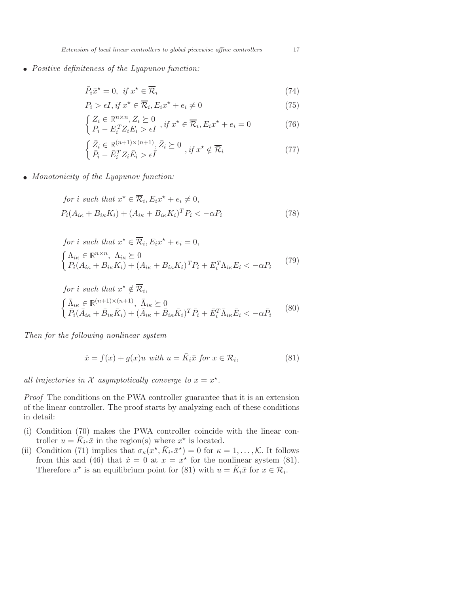• Positive definiteness of the Lyapunov function:

$$
\bar{P}_i \bar{x}^* = 0, \text{ if } x^* \in \overline{\mathcal{R}}_i \tag{74}
$$

$$
P_i > \epsilon I, \text{ if } x^* \in \overline{\mathcal{R}}_i, E_i x^* + e_i \neq 0 \tag{75}
$$

$$
\begin{cases} Z_i \in \mathbb{R}^{n \times n}, Z_i \succeq 0 \\ P_i - E_i^T Z_i E_i > \epsilon I \end{cases}, if x^* \in \overline{\mathcal{R}}_i, E_i x^* + e_i = 0 \tag{76}
$$

$$
\begin{cases} \bar{Z}_i \in \mathbb{R}^{(n+1)\times(n+1)}, \bar{Z}_i \succeq 0 \\ \bar{P}_i - \bar{E}_i^T Z_i \bar{E}_i > \epsilon \bar{I} \end{cases}, if x^* \notin \overline{\mathcal{R}}_i \tag{77}
$$

• Monotonicity of the Lyapunov function:

for *i* such that 
$$
x^* \in \overline{\mathcal{R}}_i
$$
,  $E_i x^* + e_i \neq 0$ ,  
\n $P_i(A_{i\kappa} + B_{i\kappa} K_i) + (A_{i\kappa} + B_{i\kappa} K_i)^T P_i < -\alpha P_i$  (78)

for *i* such that 
$$
x^* \in \overline{\mathcal{R}}_i
$$
,  $E_i x^* + e_i = 0$ ,  
\n
$$
\begin{cases}\n\Lambda_{i\kappa} \in \mathbb{R}^{n \times n}, \ \Lambda_{i\kappa} \succeq 0 \\
P_i(A_{i\kappa} + B_{i\kappa} K_i) + (A_{i\kappa} + B_{i\kappa} K_i)^T P_i + E_i^T \Lambda_{i\kappa} E_i < -\alpha P_i\n\end{cases}
$$
\n
$$
(79)
$$

for *i* such that 
$$
x^* \notin \overline{\mathcal{R}}_i
$$
,  
\n
$$
\begin{cases}\n\bar{\Lambda}_{i\kappa} \in \mathbb{R}^{(n+1)\times(n+1)}, \ \bar{\Lambda}_{i\kappa} \succeq 0 \\
\bar{P}_i(\bar{A}_{i\kappa} + \bar{B}_{i\kappa}\bar{K}_i) + (\bar{A}_{i\kappa} + \bar{B}_{i\kappa}\bar{K}_i)^T \bar{P}_i + \bar{E}_i^T \bar{\Lambda}_{i\kappa} \bar{E}_i < -\alpha \bar{P}_i\n\end{cases}
$$
\n(80)

Then for the following nonlinear system

$$
\dot{x} = f(x) + g(x)u \text{ with } u = \bar{K}_i \bar{x} \text{ for } x \in \mathcal{R}_i,
$$
\n(81)

all trajectories in X asymptotically converge to  $x = x^*$ .

Proof The conditions on the PWA controller guarantee that it is an extension of the linear controller. The proof starts by analyzing each of these conditions in detail:

- (i) Condition (70) makes the PWA controller coincide with the linear controller  $u = \overline{K}_{i^*}\overline{x}$  in the region(s) where  $x^*$  is located.
- (ii) Condition (71) implies that  $\sigma_{\kappa}(x^*, \bar{K}_i, \bar{x}^*) = 0$  for  $\kappa = 1, \ldots, \mathcal{K}$ . It follows from this and (46) that  $\dot{x} = 0$  at  $x = x^*$  for the nonlinear system (81). Therefore  $x^*$  is an equilibrium point for (81) with  $u = \overline{K}_i \overline{x}$  for  $x \in \mathcal{R}_i$ .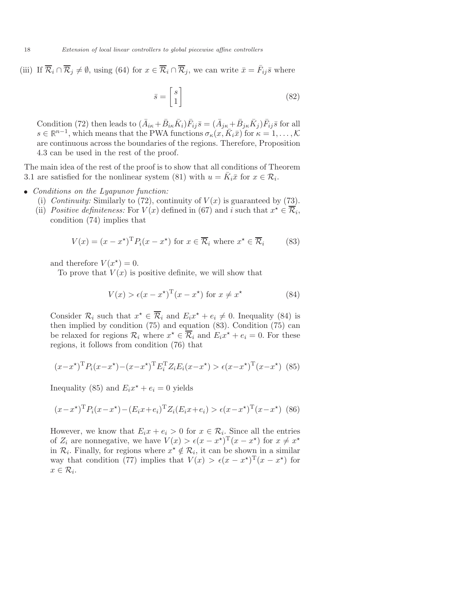(iii) If  $\overline{\mathcal{R}}_i \cap \overline{\mathcal{R}}_j \neq \emptyset$ , using (64) for  $x \in \overline{\mathcal{R}}_i \cap \overline{\mathcal{R}}_j$ , we can write  $\overline{x} = \overline{F}_{ij}\overline{s}$  where

$$
\bar{s} = \begin{bmatrix} s \\ 1 \end{bmatrix} \tag{82}
$$

Condition (72) then leads to  $(\bar{A}_{i\kappa}+\bar{B}_{i\kappa}\bar{K}_i)\bar{F}_{ij}\bar{s}=(\bar{A}_{j\kappa}+\bar{B}_{j\kappa}\bar{K}_j)\bar{F}_{ij}\bar{s}$  for all  $s \in \mathbb{R}^{n-1}$ , which means that the PWA functions  $\sigma_{\kappa}(x, \bar{K}_i\bar{x})$  for  $\kappa = 1, \ldots, \mathcal{K}$ are continuous across the boundaries of the regions. Therefore, Proposition 4.3 can be used in the rest of the proof.

The main idea of the rest of the proof is to show that all conditions of Theorem 3.1 are satisfied for the nonlinear system (81) with  $u = \overline{K}_i \overline{x}$  for  $x \in \mathcal{R}_i$ .

- Conditions on the Lyapunov function:
	- (i) Continuity: Similarly to (72), continuity of  $V(x)$  is guaranteed by (73).
	- (ii) Positive definiteness: For  $V(x)$  defined in (67) and i such that  $x^* \in \overline{\mathcal{R}}_i$ , condition (74) implies that

$$
V(x) = (x - x^*)^T P_i(x - x^*)
$$
 for  $x \in \overline{\mathcal{R}}_i$  where  $x^* \in \overline{\mathcal{R}}_i$  (83)

and therefore  $V(x^*)=0$ .

To prove that  $V(x)$  is positive definite, we will show that

$$
V(x) > \epsilon (x - x^*)^{\mathrm{T}} (x - x^*) \text{ for } x \neq x^* \tag{84}
$$

Consider  $\mathcal{R}_i$  such that  $x^* \in \overline{\mathcal{R}}_i$  and  $E_i x^* + e_i \neq 0$ . Inequality (84) is then implied by condition (75) and equation (83). Condition (75) can be relaxed for regions  $\mathcal{R}_i$  where  $x^* \in \overline{\mathcal{R}}_i$  and  $E_i x^* + e_i = 0$ . For these regions, it follows from condition (76) that

$$
(x - x^*)^T P_i (x - x^*) - (x - x^*)^T E_i^T Z_i E_i (x - x^*) > \epsilon (x - x^*)^T (x - x^*)
$$
 (85)

Inequality (85) and  $E_i x^* + e_i = 0$  yields

$$
(x - x^*)^{\mathrm{T}} P_i (x - x^*) - (E_i x + e_i)^{\mathrm{T}} Z_i (E_i x + e_i) > \epsilon (x - x^*)^{\mathrm{T}} (x - x^*)
$$
 (86)

However, we know that  $E_i x + e_i > 0$  for  $x \in \mathcal{R}_i$ . Since all the entries of  $Z_i$  are nonnegative, we have  $V(x) > \epsilon (x - x^*)^{\mathrm{T}} (x - x^*)$  for  $x \neq x^*$ in  $\mathcal{R}_i$ . Finally, for regions where  $x^* \notin \mathcal{R}_i$ , it can be shown in a similar way that condition (77) implies that  $V(x) > \epsilon (x - x^*)^T (x - x^*)$  for  $x \in \mathcal{R}_i$ .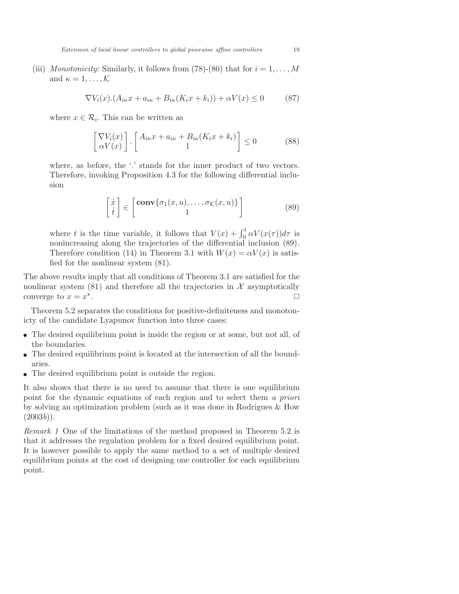Extension of local linear controllers to global piecewise affine controllers 19

(iii) Monotonicity: Similarly, it follows from (78)-(80) that for  $i = 1, \ldots, M$ and  $\kappa = 1, \ldots, \mathcal{K}$ 

$$
\nabla V_i(x) \cdot (A_{i\kappa} x + a_{i\kappa} + B_{i\kappa} (K_i x + k_i)) + \alpha V(x) \le 0 \tag{87}
$$

where  $x \in \mathcal{R}_i$ . This can be written as

$$
\begin{bmatrix} \nabla V_i(x) \\ \alpha V(x) \end{bmatrix} \cdot \begin{bmatrix} A_{i\kappa}x + a_{i\kappa} + B_{i\kappa}(K_ix + k_i) \\ 1 \end{bmatrix} \le 0 \tag{88}
$$

where, as before, the '.' stands for the inner product of two vectors. Therefore, invoking Proposition 4.3 for the following differential inclusion

$$
\begin{bmatrix} \dot{x} \\ \dot{t} \end{bmatrix} \in \begin{bmatrix} \mathbf{conv}\{\sigma_1(x, u), \dots, \sigma_K(x, u)\} \\ 1 \end{bmatrix}
$$
 (89)

where t is the time variable, it follows that  $V(x) + \int_0^t \alpha V(x(\tau))d\tau$  is nonincreasing along the trajectories of the differential inclusion (89). Therefore condition (14) in Theorem 3.1 with  $W(x) = \alpha V(x)$  is satisfied for the nonlinear system (81).

The above results imply that all conditions of Theorem 3.1 are satisfied for the nonlinear system  $(81)$  and therefore all the trajectories in X asymptotically converge to  $x = x^*$ . The contract of the contract of the contract of the contract of the contract of the contract of the contract of the contract of the contract of the contract of the contract of the contract of the contract of the contract

Theorem 5.2 separates the conditions for positive-definiteness and monotonicty of the candidate Lyapunov function into three cases:

- The desired equilibrium point is inside the region or at some, but not all, of the boundaries.
- The desired equilibrium point is located at the intersection of all the boundaries.
- The desired equilibrium point is outside the region.

It also shows that there is no need to assume that there is one equilibrium point for the dynamic equations of each region and to select them a priori by solving an optimization problem (such as it was done in Rodrigues & How  $(2003b)$ .

Remark 1 One of the limitations of the method proposed in Theorem 5.2 is that it addresses the regulation problem for a fixed desired equilibrium point. It is however possible to apply the same method to a set of multiple desired equilibrium points at the cost of designing one controller for each equilibrium point.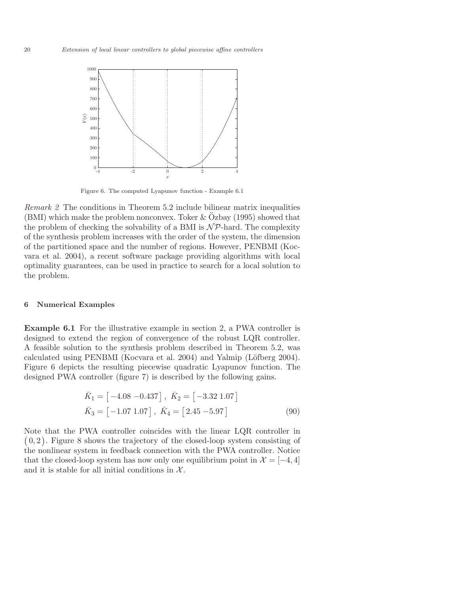

Figure 6. The computed Lyapunov function - Example 6.1

Remark 2 The conditions in Theorem 5.2 include bilinear matrix inequalities  $(BMI)$  which make the problem nonconvex. Toker & Ozbay (1995) showed that the problem of checking the solvability of a BMI is  $N\mathcal{P}$ -hard. The complexity of the synthesis problem increases with the order of the system, the dimension of the partitioned space and the number of regions. However, PENBMI (Kocvara et al. 2004), a recent software package providing algorithms with local optimality guarantees, can be used in practice to search for a local solution to the problem.

## 6 Numerical Examples

Example 6.1 For the illustrative example in section 2, a PWA controller is designed to extend the region of convergence of the robust LQR controller. A feasible solution to the synthesis problem described in Theorem 5.2, was calculated using PENBMI (Kocvara et al.  $2004$ ) and Yalmip (Löfberg 2004). Figure 6 depicts the resulting piecewise quadratic Lyapunov function. The designed PWA controller (figure 7) is described by the following gains.

$$
\begin{aligned}\n\bar{K}_1 &= \begin{bmatrix} -4.08 & -0.437 \end{bmatrix}, \ \bar{K}_2 = \begin{bmatrix} -3.32 & 1.07 \end{bmatrix} \\
\bar{K}_3 &= \begin{bmatrix} -1.07 & 1.07 \end{bmatrix}, \ \bar{K}_4 = \begin{bmatrix} 2.45 & -5.97 \end{bmatrix}\n\end{aligned} \tag{90}
$$

Note that the PWA controller coincides with the linear LQR controller in  $(0, 2)$ . Figure 8 shows the trajectory of the closed-loop system consisting of the nonlinear system in feedback connection with the PWA controller. Notice that the closed-loop system has now only one equilibrium point in  $\mathcal{X} = [-4, 4]$ and it is stable for all initial conditions in  $X$ .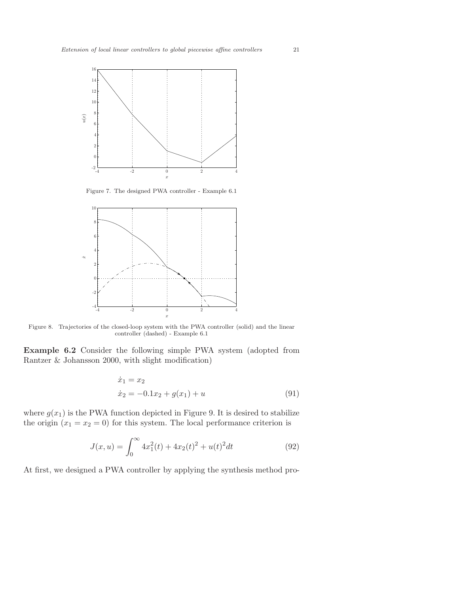

Figure 7. The designed PWA controller - Example 6.1



Figure 8. Trajectories of the closed-loop system with the PWA controller (solid) and the linear controller (dashed) - Example 6.1

Example 6.2 Consider the following simple PWA system (adopted from Rantzer & Johansson 2000, with slight modification)

$$
\begin{aligned}\n\dot{x}_1 &= x_2\\ \n\dot{x}_2 &= -0.1x_2 + g(x_1) + u\n\end{aligned} \tag{91}
$$

where  $g(x_1)$  is the PWA function depicted in Figure 9. It is desired to stabilize the origin  $(x_1 = x_2 = 0)$  for this system. The local performance criterion is

$$
J(x, u) = \int_0^\infty 4x_1^2(t) + 4x_2(t)^2 + u(t)^2 dt
$$
 (92)

At first, we designed a PWA controller by applying the synthesis method pro-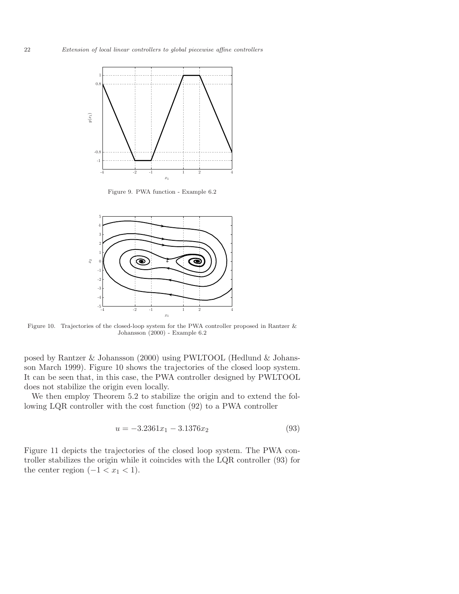

Figure 9. PWA function - Example 6.2



Figure 10. Trajectories of the closed-loop system for the PWA controller proposed in Rantzer & Johansson (2000) - Example 6.2

posed by Rantzer & Johansson (2000) using PWLTOOL (Hedlund & Johansson March 1999). Figure 10 shows the trajectories of the closed loop system. It can be seen that, in this case, the PWA controller designed by PWLTOOL does not stabilize the origin even locally.

We then employ Theorem 5.2 to stabilize the origin and to extend the following LQR controller with the cost function (92) to a PWA controller

$$
u = -3.2361x_1 - 3.1376x_2 \tag{93}
$$

Figure 11 depicts the trajectories of the closed loop system. The PWA controller stabilizes the origin while it coincides with the LQR controller (93) for the center region  $(-1 < x<sub>1</sub> < 1)$ .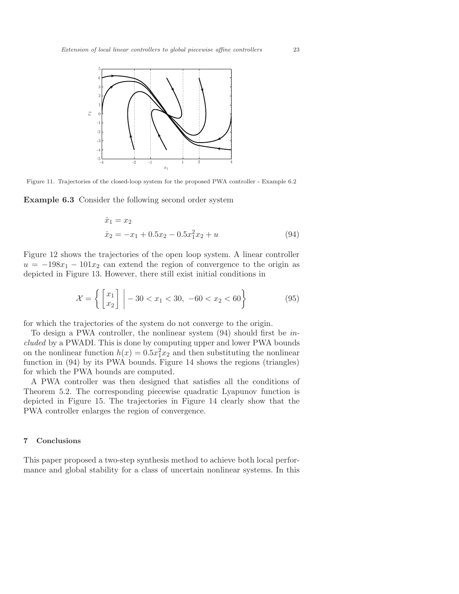

Figure 11. Trajectories of the closed-loop system for the proposed PWA controller - Example 6.2

Example 6.3 Consider the following second order system

$$
\begin{aligned}\n\dot{x}_1 &= x_2\\ \n\dot{x}_2 &= -x_1 + 0.5x_2 - 0.5x_1^2 x_2 + u\n\end{aligned} \tag{94}
$$

Figure 12 shows the trajectories of the open loop system. A linear controller  $u = -198x_1 - 101x_2$  can extend the region of convergence to the origin as depicted in Figure 13. However, there still exist initial conditions in

$$
\mathcal{X} = \left\{ \begin{bmatrix} x_1 \\ x_2 \end{bmatrix} \middle| -30 < x_1 < 30, -60 < x_2 < 60 \right\} \tag{95}
$$

for which the trajectories of the system do not converge to the origin.

To design a PWA controller, the nonlinear system (94) should first be included by a PWADI. This is done by computing upper and lower PWA bounds on the nonlinear function  $h(x) = 0.5x_1^2x_2$  and then substituting the nonlinear function in (94) by its PWA bounds. Figure 14 shows the regions (triangles) for which the PWA bounds are computed.

A PWA controller was then designed that satisfies all the conditions of Theorem 5.2. The corresponding piecewise quadratic Lyapunov function is depicted in Figure 15. The trajectories in Figure 14 clearly show that the PWA controller enlarges the region of convergence.

## 7 Conclusions

This paper proposed a two-step synthesis method to achieve both local performance and global stability for a class of uncertain nonlinear systems. In this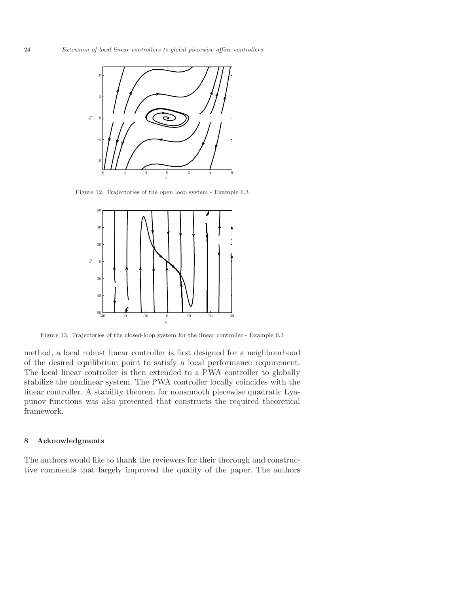

Figure 12. Trajectories of the open loop system - Example 6.3



Figure 13. Trajectories of the closed-loop system for the linear controller - Example 6.3

method, a local robust linear controller is first designed for a neighbourhood of the desired equilibrium point to satisfy a local performance requirement. The local linear controller is then extended to a PWA controller to globally stabilize the nonlinear system. The PWA controller locally coincides with the linear controller. A stability theorem for nonsmooth piecewise quadratic Lyapunov functions was also presented that constructs the required theoretical framework.

## 8 Acknowledgments

The authors would like to thank the reviewers for their thorough and constructive comments that largely improved the quality of the paper. The authors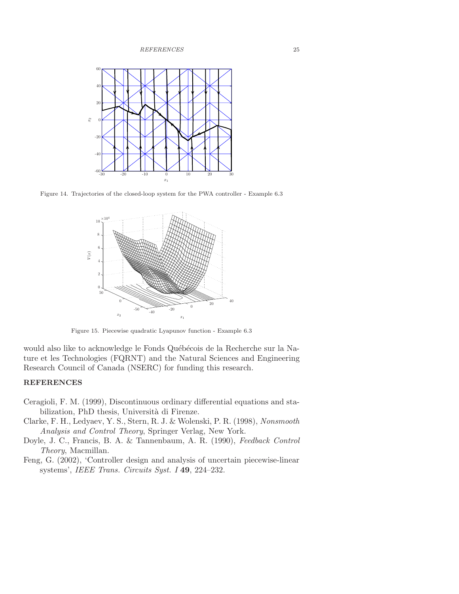REFERENCES 25



Figure 14. Trajectories of the closed-loop system for the PWA controller - Example 6.3



Figure 15. Piecewise quadratic Lyapunov function - Example 6.3

would also like to acknowledge le Fonds Québécois de la Recherche sur la Nature et les Technologies (FQRNT) and the Natural Sciences and Engineering Research Council of Canada (NSERC) for funding this research.

## REFERENCES

- Ceragioli, F. M. (1999), Discontinuous ordinary differential equations and stabilization, PhD thesis, Università di Firenze.
- Clarke, F. H., Ledyaev, Y. S., Stern, R. J. & Wolenski, P. R. (1998), Nonsmooth Analysis and Control Theory, Springer Verlag, New York.
- Doyle, J. C., Francis, B. A. & Tannenbaum, A. R. (1990), Feedback Control Theory, Macmillan.
- Feng, G. (2002), 'Controller design and analysis of uncertain piecewise-linear systems', IEEE Trans. Circuits Syst. I 49, 224–232.